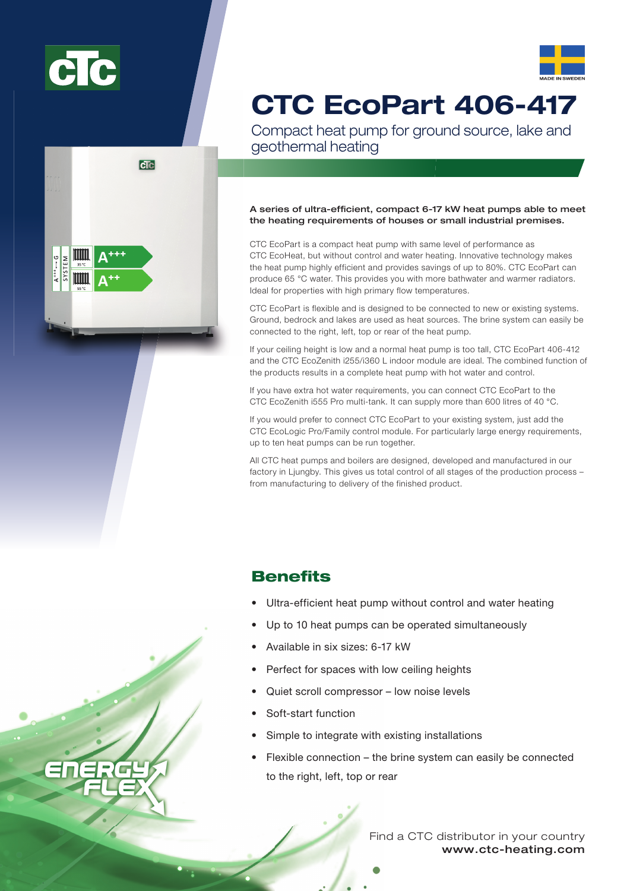





# CTC EcoPart 406-417

Compact heat pump for ground source, lake and geothermal heating

## A series of ultra-efficient, compact 6-17 kW heat pumps able to meet the heating requirements of houses or small industrial premises.

CTC EcoPart is a compact heat pump with same level of performance as CTC EcoHeat, but without control and water heating. Innovative technology makes the heat pump highly efficient and provides savings of up to 80%. CTC EcoPart can produce 65 °C water. This provides you with more bathwater and warmer radiators. Ideal for properties with high primary flow temperatures.

CTC EcoPart is flexible and is designed to be connected to new or existing systems. Ground, bedrock and lakes are used as heat sources. The brine system can easily be connected to the right, left, top or rear of the heat pump.

If your ceiling height is low and a normal heat pump is too tall, CTC EcoPart 406-412 and the CTC EcoZenith i255/i360 L indoor module are ideal. The combined function of the products results in a complete heat pump with hot water and control.

If you have extra hot water requirements, you can connect CTC EcoPart to the CTC EcoZenith i555 Pro multi-tank. It can supply more than 600 litres of 40 °C.

If you would prefer to connect CTC EcoPart to your existing system, just add the CTC EcoLogic Pro/Family control module. For particularly large energy requirements, up to ten heat pumps can be run together.

All CTC heat pumps and boilers are designed, developed and manufactured in our factory in Ljungby. This gives us total control of all stages of the production process – from manufacturing to delivery of the finished product.

# **Benefits**

- Ultra-efficient heat pump without control and water heating
- Up to 10 heat pumps can be operated simultaneously
- Available in six sizes: 6-17 kW
- Perfect for spaces with low ceiling heights
- Quiet scroll compressor low noise levels
- Soft-start function
- Simple to integrate with existing installations
- Flexible connection the brine system can easily be connected to the right, left, top or rear

www.ctc-heating.com Find a CTC distributor in your country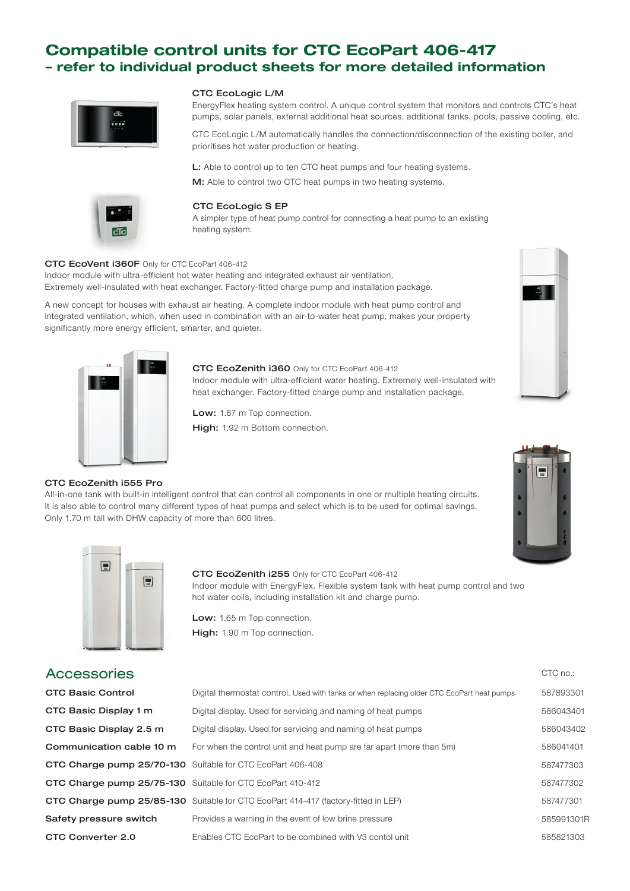# Compatible control units for CTC EcoPart 406-417 – refer to individual product sheets for more detailed information



#### CTC EcoLogic L/M

EnergyFlex heating system control. A unique control system that monitors and controls CTC's heat pumps, solar panels, external additional heat sources, additional tanks, pools, passive cooling, etc.

CTC EcoLogic L/M automatically handles the connection/disconnection of the existing boiler, and prioritises hot water production or heating.

L: Able to control up to ten CTC heat pumps and four heating systems. M: Able to control two CTC heat pumps in two heating systems.



#### CTC EcoLogic S EP

A simpler type of heat pump control for connecting a heat pump to an existing heating system.

#### CTC EcoVent i360F Only for CTC EcoPart 406-412

Indoor module with ultra-efficient hot water heating and integrated exhaust air ventilation. Extremely well-insulated with heat exchanger. Factory-fitted charge pump and installation package.

A new concept for houses with exhaust air heating. A complete indoor module with heat pump control and integrated ventilation, which, when used in combination with an air-to-water heat pump, makes your property significantly more energy efficient, smarter, and quieter.



CTC EcoZenith i555 Pro

#### CTC EcoZenith i360 Only for CTC EcoPart 406-412

Indoor module with ultra-efficient water heating. Extremely well-insulated with heat exchanger. Factory-fitted charge pump and installation package.

Low: 1.67 m Top connection.

High: 1.92 m Bottom connection.

All-in-one tank with built-in intelligent control that can control all components in one or multiple heating circuits. It is also able to control many different types of heat pumps and select which is to be used for optimal savings.







Only 1.70 m tall with DHW capacity of more than 600 litres.

## CTC EcoZenith i255 Only for CTC EcoPart 406-412

Indoor module with EnergyFlex. Flexible system tank with heat pump control and two hot water coils, including installation kit and charge pump.

Low: 1.65 m Top connection. High: 1.90 m Top connection.

| <b>Accessories</b>       |                                                                                            | CTC no.: |
|--------------------------|--------------------------------------------------------------------------------------------|----------|
| <b>CTC Basic Control</b> | Digital thermostat control. Used with tanks or when replacing older CTC EcoPart heat pumps | 5878933  |

| <b>CTC Basic Control</b>                                   | Digital thermostat control. Used with tanks or when replacing older CTC EcoPart heat pumps | 587893301  |
|------------------------------------------------------------|--------------------------------------------------------------------------------------------|------------|
| CTC Basic Display 1 m                                      | Digital display. Used for servicing and naming of heat pumps                               | 586043401  |
| CTC Basic Display 2.5 m                                    | Digital display. Used for servicing and naming of heat pumps                               | 586043402  |
| Communication cable 10 m                                   | For when the control unit and heat pump are far apart (more than 5m)                       | 586041401  |
| CTC Charge pump 25/70-130 Suitable for CTC EcoPart 406-408 |                                                                                            | 587477303  |
| CTC Charge pump 25/75-130 Suitable for CTC EcoPart 410-412 |                                                                                            | 587477302  |
|                                                            | <b>CTC Charge pump 25/85-130</b> Suitable for CTC EcoPart 414-417 (factory-fitted in LEP)  | 587477301  |
| Safety pressure switch                                     | Provides a warning in the event of low brine pressure                                      | 585991301R |
| CTC Converter 2.0                                          | Enables CTC EcoPart to be combined with V3 contol unit                                     | 585821303  |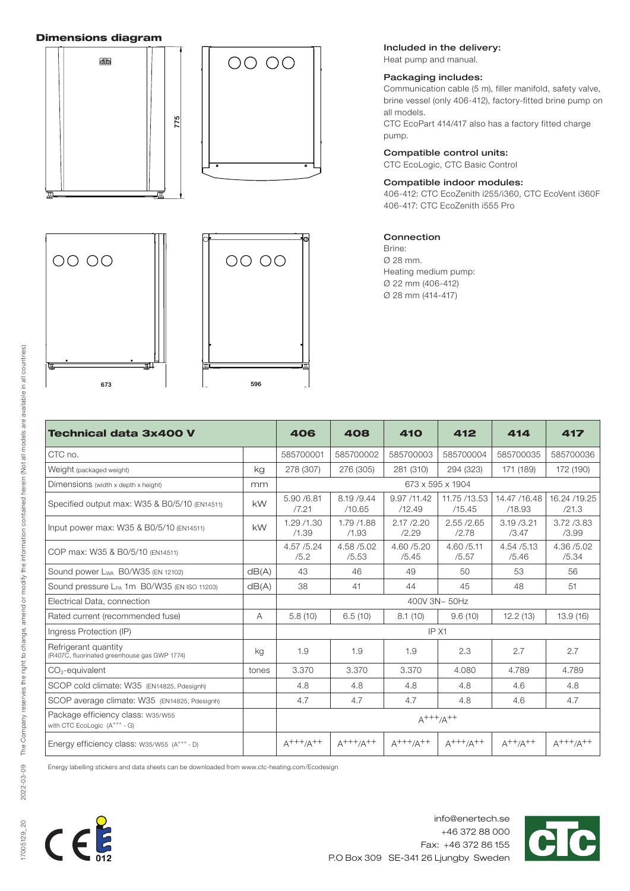# Dimensions diagram



# Included in the delivery:

Heat pump and manual.

## Packaging includes:

Communication cable (5 m), filler manifold, safety valve, brine vessel (only 406-412), factory-fitted brine pump on all models.

CTC EcoPart 414/417 also has a factory fitted charge pump.

# Compatible control units:

CTC EcoLogic, CTC Basic Control

# Compatible indoor modules:

406-412: CTC EcoZenith i255/i360, CTC EcoVent i360F 406-417: CTC EcoZenith i555 Pro

# Connection

Brine: Ø 28 mm. Heating medium pump: Ø 22 mm (406-412) Ø 28 mm (414-417)

| Technical data 3x400 V                                                        |                  | 406                 | 408                   | <b>410</b>            | 412                    | 414                     | 417                    |  |
|-------------------------------------------------------------------------------|------------------|---------------------|-----------------------|-----------------------|------------------------|-------------------------|------------------------|--|
| CTC no.                                                                       |                  | 585700001           | 585700002             | 585700003             | 585700004              | 585700035               | 585700036              |  |
| Weight (packaged weight)                                                      | kg               | 278 (307)           | 276 (305)             | 281 (310)             | 294 (323)              | 171 (189)               | 172 (190)              |  |
| Dimensions (width x depth x height)                                           | 673 x 595 x 1904 |                     |                       |                       |                        |                         |                        |  |
| Specified output max: W35 & B0/5/10 (EN14511)                                 | <b>kW</b>        | 5.90 /6.81<br>/7.21 | 8.19 / 9.44<br>/10.65 | 9.97 /11.42<br>/12.49 | 11.75 /13.53<br>/15.45 | 14.47 / 16.48<br>/18.93 | 16.24 / 19.25<br>/21.3 |  |
| Input power max: W35 & B0/5/10 (EN14511)                                      | <b>kW</b>        | 1.29 /1.30<br>/1.39 | 1.79 /1.88<br>/1.93   | 2.17 / 2.20<br>/2.29  | 2.55 / 2.65<br>/2.78   | 3.19 / 3.21<br>/3.47    | 3.72 / 3.83<br>/3.99   |  |
| COP max: W35 & B0/5/10 (EN14511)                                              |                  | 4.57 / 5.24<br>/5.2 | 4.58 / 5.02<br>/5.53  | 4.60 / 5.20<br>/5.45  | 4.60 / 5.11<br>/5.57   | 4.54 / 5.13<br>/5.46    | 4.36 / 5.02<br>/5.34   |  |
| Sound power L <sub>WA</sub> B0/W35 (EN 12102)                                 | dB(A)            | 43                  | 46                    | 49                    | 50                     | 53                      | 56                     |  |
| Sound pressure L <sub>PA</sub> 1m B0/W35 (EN ISO 11203)                       | dB(A)            | 38                  | 41                    | 44                    | 45                     | 48                      | 51                     |  |
| Electrical Data, connection                                                   |                  | 400V 3N~ 50Hz       |                       |                       |                        |                         |                        |  |
| Rated current (recommended fuse)                                              | A                | 5.8(10)             | 6.5(10)               | 8.1(10)               | 9.6(10)                | 12.2(13)                | 13.9(16)               |  |
| Ingress Protection (IP)                                                       |                  | IP X1               |                       |                       |                        |                         |                        |  |
| Refrigerant quantity<br>(R407C, fluorinated greenhouse gas GWP 1774)          | kg               | 1.9                 | 1.9                   | 1.9                   | 2.3                    | 2.7                     | 2.7                    |  |
| CO <sub>2</sub> -equivalent                                                   | tones            | 3.370               | 3.370                 | 3.370                 | 4.080                  | 4.789                   | 4.789                  |  |
| SCOP cold climate: W35 (EN14825, Pdesignh)                                    |                  | 4.8                 | 4.8                   | 4.8                   | 4.8                    | 4.6                     | 4.8                    |  |
| SCOP average climate: W35 (EN14825, Pdesignh)                                 |                  | 4.7                 | 4.7                   | 4.7                   | 4.8                    | 4.6                     | 4.7                    |  |
| Package efficiency class: w35/w55<br>with CTC EcoLogic (A <sup>+++</sup> - G) |                  | $A^{+++}/A^{++}$    |                       |                       |                        |                         |                        |  |
| Energy efficiency class: w35/w55 (A <sup>+++</sup> - D)                       |                  | $A^{+++}/A^{++}$    | $A^{+++}/A^{++}$      | $A^{+++}/A^{++}$      | $A^{+++}/A^{++}$       | $A^{++}/A^{++}$         | $A^{+++}/A^{++}$       |  |

Energy labelling stickers and data sheets can be downloaded from www.ctc-heating.com/Ecodesign